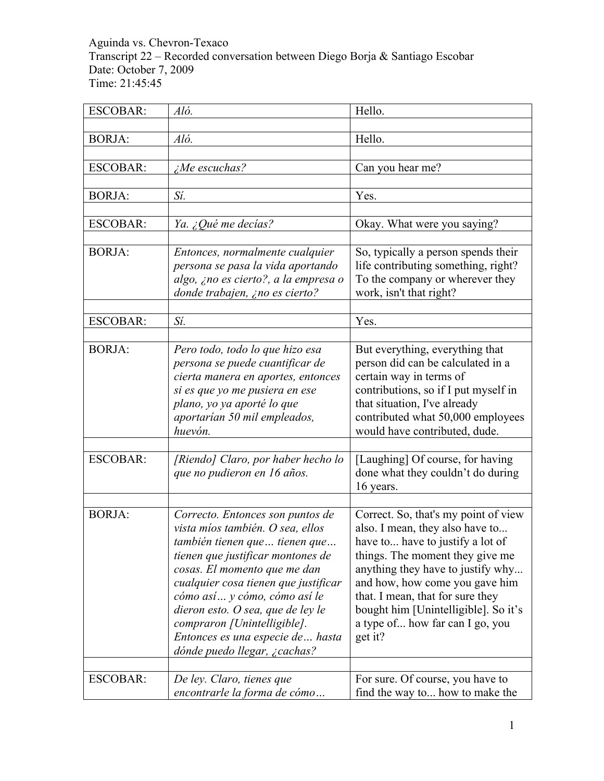Aguinda vs. Chevron-Texaco Transcript 22 – Recorded conversation between Diego Borja & Santiago Escobar Date: October 7, 2009 Time: 21:45:45

| Aló.                                                                                                                                                                                                                                                                                                                                                     | Hello.                                                                                                                                                                                                                                                                                                                                          |
|----------------------------------------------------------------------------------------------------------------------------------------------------------------------------------------------------------------------------------------------------------------------------------------------------------------------------------------------------------|-------------------------------------------------------------------------------------------------------------------------------------------------------------------------------------------------------------------------------------------------------------------------------------------------------------------------------------------------|
|                                                                                                                                                                                                                                                                                                                                                          |                                                                                                                                                                                                                                                                                                                                                 |
|                                                                                                                                                                                                                                                                                                                                                          | Hello.                                                                                                                                                                                                                                                                                                                                          |
|                                                                                                                                                                                                                                                                                                                                                          | Can you hear me?                                                                                                                                                                                                                                                                                                                                |
|                                                                                                                                                                                                                                                                                                                                                          |                                                                                                                                                                                                                                                                                                                                                 |
| Sí.                                                                                                                                                                                                                                                                                                                                                      | Yes.                                                                                                                                                                                                                                                                                                                                            |
|                                                                                                                                                                                                                                                                                                                                                          |                                                                                                                                                                                                                                                                                                                                                 |
|                                                                                                                                                                                                                                                                                                                                                          | Okay. What were you saying?                                                                                                                                                                                                                                                                                                                     |
| Entonces, normalmente cualquier<br>persona se pasa la vida aportando<br>algo, ¿no es cierto?, a la empresa o<br>donde trabajen, ¿no es cierto?                                                                                                                                                                                                           | So, typically a person spends their<br>life contributing something, right?<br>To the company or wherever they<br>work, isn't that right?                                                                                                                                                                                                        |
|                                                                                                                                                                                                                                                                                                                                                          | Yes.                                                                                                                                                                                                                                                                                                                                            |
|                                                                                                                                                                                                                                                                                                                                                          |                                                                                                                                                                                                                                                                                                                                                 |
| Pero todo, todo lo que hizo esa<br>persona se puede cuantificar de<br>cierta manera en aportes, entonces<br>si es que yo me pusiera en ese<br>plano, yo ya aporté lo que<br>aportarían 50 mil empleados,<br>huevón.                                                                                                                                      | But everything, everything that<br>person did can be calculated in a<br>certain way in terms of<br>contributions, so if I put myself in<br>that situation, I've already<br>contributed what 50,000 employees<br>would have contributed, dude.                                                                                                   |
|                                                                                                                                                                                                                                                                                                                                                          |                                                                                                                                                                                                                                                                                                                                                 |
| que no pudieron en 16 años.                                                                                                                                                                                                                                                                                                                              | [Laughing] Of course, for having<br>done what they couldn't do during<br>16 years.                                                                                                                                                                                                                                                              |
|                                                                                                                                                                                                                                                                                                                                                          |                                                                                                                                                                                                                                                                                                                                                 |
| vista míos también. O sea, ellos<br>también tienen que  tienen que<br>tienen que justificar montones de<br>cosas. El momento que me dan<br>cualquier cosa tienen que justificar<br>cómo así y cómo, cómo así le<br>dieron esto. O sea, que de ley le<br>compraron [Unintelligible].<br>Entonces es una especie de  hasta<br>dónde puedo llegar, ¿cachas? | Correct. So, that's my point of view<br>also. I mean, they also have to<br>have to have to justify a lot of<br>things. The moment they give me<br>anything they have to justify why<br>and how, how come you gave him<br>that. I mean, that for sure they<br>bought him [Unintelligible]. So it's<br>a type of how far can I go, you<br>get it? |
|                                                                                                                                                                                                                                                                                                                                                          | For sure. Of course, you have to                                                                                                                                                                                                                                                                                                                |
|                                                                                                                                                                                                                                                                                                                                                          | Aló.<br>$\zeta$ Me escuchas?<br>Ya. ¿Qué me decías?<br>Sí.<br>[Riendo] Claro, por haber hecho lo<br>Correcto. Entonces son puntos de<br>De ley. Claro, tienes que                                                                                                                                                                               |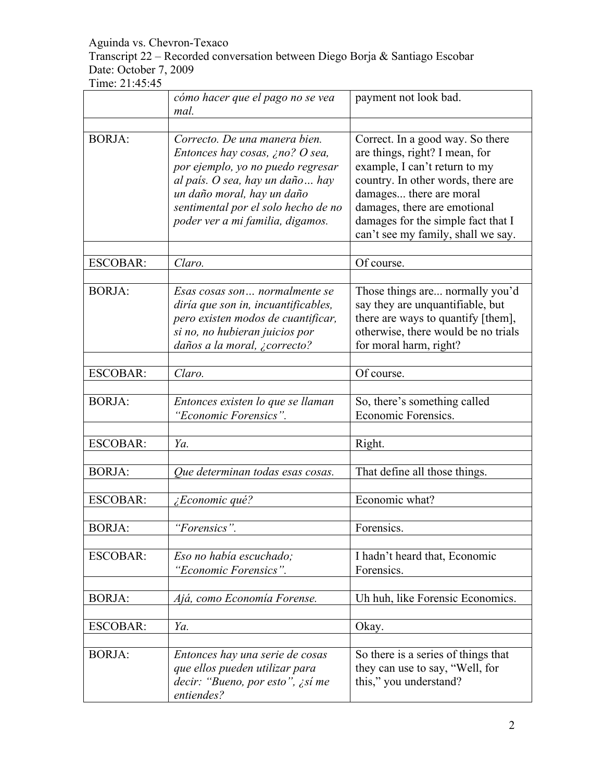Transcript 22 – Recorded conversation between Diego Borja & Santiago Escobar Date: October 7, 2009

|                 | cómo hacer que el pago no se vea<br>mal.                                                                                                                                                                                                           | payment not look bad.                                                                                                                                                                                                                                                            |
|-----------------|----------------------------------------------------------------------------------------------------------------------------------------------------------------------------------------------------------------------------------------------------|----------------------------------------------------------------------------------------------------------------------------------------------------------------------------------------------------------------------------------------------------------------------------------|
|                 |                                                                                                                                                                                                                                                    |                                                                                                                                                                                                                                                                                  |
| <b>BORJA:</b>   | Correcto. De una manera bien.<br>Entonces hay cosas, ¿no? O sea,<br>por ejemplo, yo no puedo regresar<br>al país. O sea, hay un daño  hay<br>un daño moral, hay un daño<br>sentimental por el solo hecho de no<br>poder ver a mi familia, digamos. | Correct. In a good way. So there<br>are things, right? I mean, for<br>example, I can't return to my<br>country. In other words, there are<br>damages there are moral<br>damages, there are emotional<br>damages for the simple fact that I<br>can't see my family, shall we say. |
| <b>ESCOBAR:</b> | Claro.                                                                                                                                                                                                                                             | Of course.                                                                                                                                                                                                                                                                       |
| <b>BORJA:</b>   | Esas cosas son  normalmente se<br>diría que son in, incuantificables,<br>pero existen modos de cuantificar,<br>si no, no hubieran juicios por<br>daños a la moral, ¿correcto?                                                                      | Those things are normally you'd<br>say they are unquantifiable, but<br>there are ways to quantify [them],<br>otherwise, there would be no trials<br>for moral harm, right?                                                                                                       |
| <b>ESCOBAR:</b> | Claro.                                                                                                                                                                                                                                             | Of course.                                                                                                                                                                                                                                                                       |
| <b>BORJA:</b>   | Entonces existen lo que se llaman<br>"Economic Forensics".                                                                                                                                                                                         | So, there's something called<br>Economic Forensics.                                                                                                                                                                                                                              |
| <b>ESCOBAR:</b> | Ya.                                                                                                                                                                                                                                                | Right.                                                                                                                                                                                                                                                                           |
| <b>BORJA:</b>   | Que determinan todas esas cosas.                                                                                                                                                                                                                   | That define all those things.                                                                                                                                                                                                                                                    |
| <b>ESCOBAR:</b> | ¿Economic qué?                                                                                                                                                                                                                                     | Economic what?                                                                                                                                                                                                                                                                   |
| <b>BORJA:</b>   | "Forensics".                                                                                                                                                                                                                                       | Forensics.                                                                                                                                                                                                                                                                       |
| <b>ESCOBAR:</b> | Eso no había escuchado;<br>"Economic Forensics".                                                                                                                                                                                                   | I hadn't heard that, Economic<br>Forensics.                                                                                                                                                                                                                                      |
| <b>BORJA:</b>   | Ajá, como Economía Forense.                                                                                                                                                                                                                        | Uh huh, like Forensic Economics.                                                                                                                                                                                                                                                 |
| <b>ESCOBAR:</b> | Ya.                                                                                                                                                                                                                                                | Okay.                                                                                                                                                                                                                                                                            |
| <b>BORJA:</b>   | Entonces hay una serie de cosas<br>que ellos pueden utilizar para<br>decir: "Bueno, por esto", ¿sí me<br>entiendes?                                                                                                                                | So there is a series of things that<br>they can use to say, "Well, for<br>this," you understand?                                                                                                                                                                                 |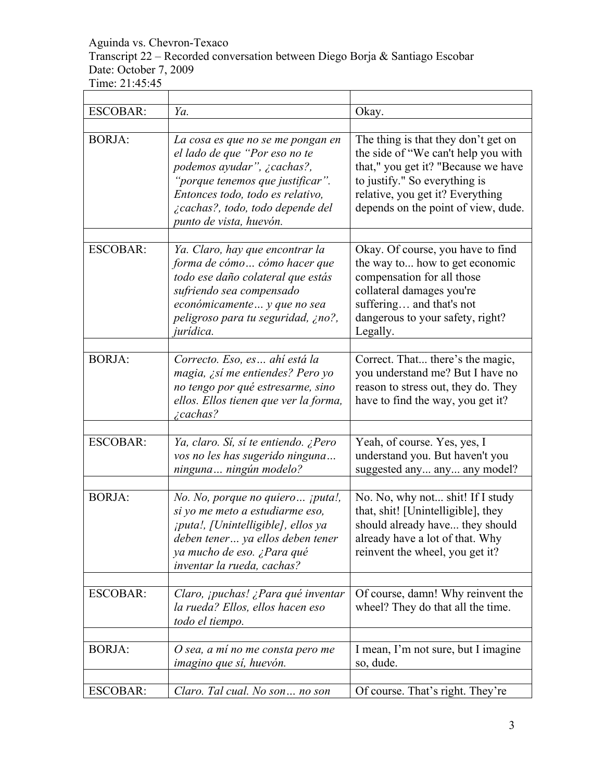Transcript 22 – Recorded conversation between Diego Borja & Santiago Escobar Date: October 7, 2009

| <b>ESCOBAR:</b> | Ya.                                                                                                                                                                                                                                     | Okay.                                                                                                                                                                                                                         |
|-----------------|-----------------------------------------------------------------------------------------------------------------------------------------------------------------------------------------------------------------------------------------|-------------------------------------------------------------------------------------------------------------------------------------------------------------------------------------------------------------------------------|
| <b>BORJA:</b>   | La cosa es que no se me pongan en<br>el lado de que "Por eso no te<br>podemos ayudar", ¿cachas?,<br>"porque tenemos que justificar".<br>Entonces todo, todo es relativo,<br>¿cachas?, todo, todo depende del<br>punto de vista, huevón. | The thing is that they don't get on<br>the side of "We can't help you with<br>that," you get it? "Because we have<br>to justify." So everything is<br>relative, you get it? Everything<br>depends on the point of view, dude. |
| <b>ESCOBAR:</b> | Ya. Claro, hay que encontrar la<br>forma de cómo cómo hacer que<br>todo ese daño colateral que estás<br>sufriendo sea compensado<br>económicamente  y que no sea<br>peligroso para tu seguridad, ¿no?,<br>jurídica.                     | Okay. Of course, you have to find<br>the way to how to get economic<br>compensation for all those<br>collateral damages you're<br>suffering and that's not<br>dangerous to your safety, right?<br>Legally.                    |
| <b>BORJA:</b>   | Correcto. Eso, es ahí está la<br>magia, ¿sí me entiendes? Pero yo<br>no tengo por qué estresarme, sino<br>ellos. Ellos tienen que ver la forma,<br>$\zeta$ cachas?                                                                      | Correct. That there's the magic,<br>you understand me? But I have no<br>reason to stress out, they do. They<br>have to find the way, you get it?                                                                              |
| <b>ESCOBAR:</b> | Ya, claro. Sí, sí te entiendo. ¿Pero<br>vos no les has sugerido ninguna<br>ninguna  ningún modelo?                                                                                                                                      | Yeah, of course. Yes, yes, I<br>understand you. But haven't you<br>suggested any any any model?                                                                                                                               |
| <b>BORJA:</b>   | No. No, porque no quiero ¡puta!,<br>si yo me meto a estudiarme eso,<br><i>iputa!, [Unintelligible], ellos ya</i><br>deben tener ya ellos deben tener<br>ya mucho de eso. ¿Para qué<br>inventar la rueda, cachas?                        | No. No, why not shit! If I study<br>that, shit! [Unintelligible], they<br>should already have they should<br>already have a lot of that. Why<br>reinvent the wheel, you get it?                                               |
| <b>ESCOBAR:</b> | Claro, ¡puchas! ¿Para qué inventar<br>la rueda? Ellos, ellos hacen eso<br>todo el tiempo.                                                                                                                                               | Of course, damn! Why reinvent the<br>wheel? They do that all the time.                                                                                                                                                        |
| <b>BORJA:</b>   | O sea, a mí no me consta pero me<br>imagino que sí, huevón.                                                                                                                                                                             | I mean, I'm not sure, but I imagine<br>so, dude.                                                                                                                                                                              |
| <b>ESCOBAR:</b> | Claro. Tal cual. No son no son                                                                                                                                                                                                          | Of course. That's right. They're                                                                                                                                                                                              |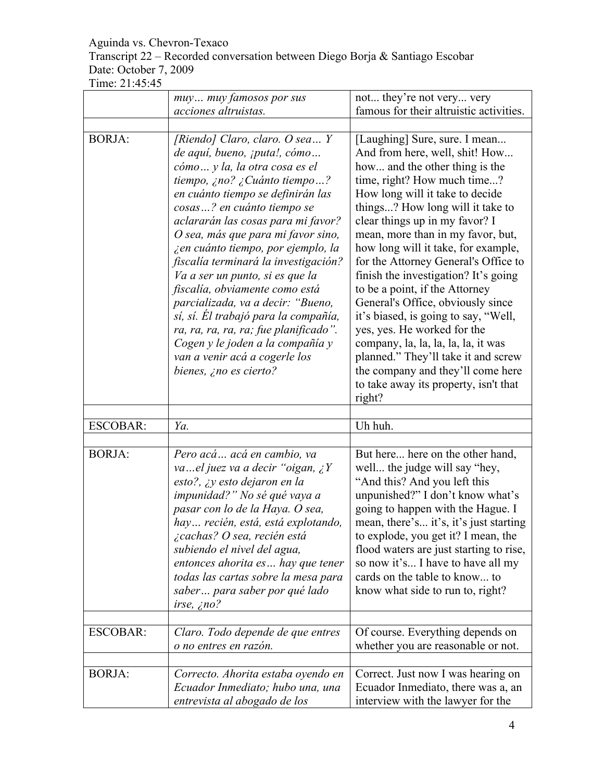## Transcript 22 – Recorded conversation between Diego Borja & Santiago Escobar Date: October 7, 2009

|                 | muy muy famosos por sus                                                                                                                                                                                                                                                                                                                                                                                                                                                                                                                                                                                                                                            | not they're not very very                                                                                                                                                                                                                                                                                                                                                                                                                                                                                                                                                                                                                                                                                                 |
|-----------------|--------------------------------------------------------------------------------------------------------------------------------------------------------------------------------------------------------------------------------------------------------------------------------------------------------------------------------------------------------------------------------------------------------------------------------------------------------------------------------------------------------------------------------------------------------------------------------------------------------------------------------------------------------------------|---------------------------------------------------------------------------------------------------------------------------------------------------------------------------------------------------------------------------------------------------------------------------------------------------------------------------------------------------------------------------------------------------------------------------------------------------------------------------------------------------------------------------------------------------------------------------------------------------------------------------------------------------------------------------------------------------------------------------|
|                 | acciones altruistas.                                                                                                                                                                                                                                                                                                                                                                                                                                                                                                                                                                                                                                               | famous for their altruistic activities.                                                                                                                                                                                                                                                                                                                                                                                                                                                                                                                                                                                                                                                                                   |
|                 |                                                                                                                                                                                                                                                                                                                                                                                                                                                                                                                                                                                                                                                                    |                                                                                                                                                                                                                                                                                                                                                                                                                                                                                                                                                                                                                                                                                                                           |
| <b>BORJA:</b>   | [Riendo] Claro, claro. O sea $Y$<br>de aquí, bueno, <i>iputa!</i> , cómo<br>cómo  y la, la otra cosa es el<br>tiempo, ¿no? ¿Cuánto tiempo?<br>en cuánto tiempo se definirán las<br>cosas? en cuánto tiempo se<br>aclararán las cosas para mi favor?<br>O sea, más que para mi favor sino,<br>i en cuánto tiempo, por ejemplo, la<br>fiscalía terminará la investigación?<br>Va a ser un punto, si es que la<br>fiscalía, obviamente como está<br>parcializada, va a decir: "Bueno,<br>sí, sí. El trabajó para la compañía,<br>ra, ra, ra, ra, ra; fue planificado".<br>Cogen y le joden a la compañía y<br>van a venir acá a cogerle los<br>bienes, ¿no es cierto? | [Laughing] Sure, sure. I mean<br>And from here, well, shit! How<br>how and the other thing is the<br>time, right? How much time?<br>How long will it take to decide<br>things? How long will it take to<br>clear things up in my favor? I<br>mean, more than in my favor, but,<br>how long will it take, for example,<br>for the Attorney General's Office to<br>finish the investigation? It's going<br>to be a point, if the Attorney<br>General's Office, obviously since<br>it's biased, is going to say, "Well,<br>yes, yes. He worked for the<br>company, la, la, la, la, la, it was<br>planned." They'll take it and screw<br>the company and they'll come here<br>to take away its property, isn't that<br>right? |
| <b>ESCOBAR:</b> | Ya.                                                                                                                                                                                                                                                                                                                                                                                                                                                                                                                                                                                                                                                                | Uh huh.                                                                                                                                                                                                                                                                                                                                                                                                                                                                                                                                                                                                                                                                                                                   |
|                 |                                                                                                                                                                                                                                                                                                                                                                                                                                                                                                                                                                                                                                                                    |                                                                                                                                                                                                                                                                                                                                                                                                                                                                                                                                                                                                                                                                                                                           |
| <b>BORJA:</b>   | Pero acá acá en cambio, va<br>vael juez va a decir "oigan, $\chi Y$<br>esto?, ¿y esto dejaron en la<br>impunidad?" No sé qué vaya a<br>pasar con lo de la Haya. O sea,<br>hay recién, está, está explotando,<br>¿cachas? O sea, recién está<br>subiendo el nivel del agua,<br>entonces ahorita es hay que tener<br>todas las cartas sobre la mesa para<br>saber para saber por qué lado<br>irse, $\zeta$ no?                                                                                                                                                                                                                                                       | But here here on the other hand,<br>well the judge will say "hey,<br>"And this? And you left this<br>unpunished?" I don't know what's<br>going to happen with the Hague. I<br>mean, there's it's, it's just starting<br>to explode, you get it? I mean, the<br>flood waters are just starting to rise,<br>so now it's I have to have all my<br>cards on the table to know to<br>know what side to run to, right?                                                                                                                                                                                                                                                                                                          |
| <b>ESCOBAR:</b> | Claro. Todo depende de que entres<br>o no entres en razón.                                                                                                                                                                                                                                                                                                                                                                                                                                                                                                                                                                                                         | Of course. Everything depends on<br>whether you are reasonable or not.                                                                                                                                                                                                                                                                                                                                                                                                                                                                                                                                                                                                                                                    |
| <b>BORJA:</b>   | Correcto. Ahorita estaba oyendo en<br>Ecuador Inmediato; hubo una, una<br>entrevista al abogado de los                                                                                                                                                                                                                                                                                                                                                                                                                                                                                                                                                             | Correct. Just now I was hearing on<br>Ecuador Inmediato, there was a, an<br>interview with the lawyer for the                                                                                                                                                                                                                                                                                                                                                                                                                                                                                                                                                                                                             |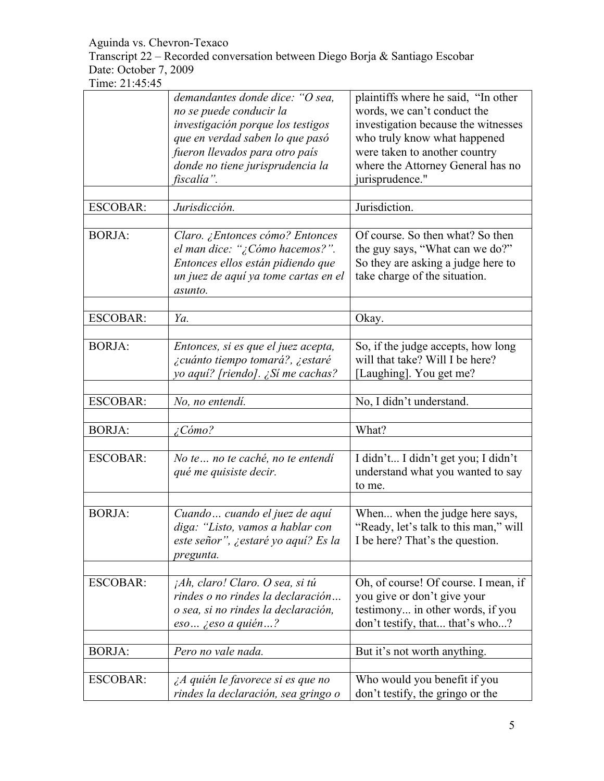Transcript 22 – Recorded conversation between Diego Borja & Santiago Escobar Date: October 7, 2009

|                 | demandantes donde dice: "O sea,<br>no se puede conducir la           | plaintiffs where he said, "In other<br>words, we can't conduct the  |
|-----------------|----------------------------------------------------------------------|---------------------------------------------------------------------|
|                 | investigación porque los testigos<br>que en verdad saben lo que pasó | investigation because the witnesses<br>who truly know what happened |
|                 | fueron llevados para otro país                                       | were taken to another country                                       |
|                 | donde no tiene jurisprudencia la                                     | where the Attorney General has no                                   |
|                 | fiscalía".                                                           | jurisprudence."                                                     |
|                 |                                                                      |                                                                     |
| <b>ESCOBAR:</b> | Jurisdicción.                                                        | Jurisdiction.                                                       |
|                 |                                                                      |                                                                     |
| <b>BORJA:</b>   | Claro. ¿Entonces cómo? Entonces                                      | Of course. So then what? So then                                    |
|                 | el man dice: "¿Cómo hacemos?".                                       | the guy says, "What can we do?"                                     |
|                 | Entonces ellos están pidiendo que                                    | So they are asking a judge here to                                  |
|                 | un juez de aquí ya tome cartas en el                                 | take charge of the situation.                                       |
|                 | asunto.                                                              |                                                                     |
|                 |                                                                      |                                                                     |
| <b>ESCOBAR:</b> | Ya.                                                                  | Okay.                                                               |
|                 |                                                                      |                                                                     |
| <b>BORJA:</b>   | Entonces, si es que el juez acepta,                                  | So, if the judge accepts, how long                                  |
|                 | ¿cuánto tiempo tomará?, ¿estaré                                      | will that take? Will I be here?                                     |
|                 | yo aquí? [riendo]. ¿Sí me cachas?                                    | [Laughing]. You get me?                                             |
|                 |                                                                      |                                                                     |
| <b>ESCOBAR:</b> | No, no entendí.                                                      | No, I didn't understand.                                            |
|                 |                                                                      |                                                                     |
| <b>BORJA:</b>   | $\angle$ Cómo?                                                       | What?                                                               |
| <b>ESCOBAR:</b> | No te  no te caché, no te entendí                                    | I didn't I didn't get you; I didn't                                 |
|                 |                                                                      | understand what you wanted to say                                   |
|                 | qué me quisiste decir.                                               | to me.                                                              |
|                 |                                                                      |                                                                     |
| <b>BORJA:</b>   | Cuando  cuando el juez de aquí                                       | When when the judge here says,                                      |
|                 | diga: "Listo, vamos a hablar con                                     | "Ready, let's talk to this man," will                               |
|                 | este señor", ¿estaré yo aquí? Es la                                  | I be here? That's the question.                                     |
|                 |                                                                      |                                                                     |
|                 | pregunta.                                                            |                                                                     |
| <b>ESCOBAR:</b> | jAh, claro! Claro. O sea, si tú                                      | Oh, of course! Of course. I mean, if                                |
|                 | rindes o no rindes la declaración                                    | you give or don't give your                                         |
|                 | o sea, si no rindes la declaración,                                  | testimony in other words, if you                                    |
|                 | $eso$ <i>i</i> eso a quién?                                          | don't testify, that that's who?                                     |
|                 |                                                                      |                                                                     |
| <b>BORJA:</b>   | Pero no vale nada.                                                   | But it's not worth anything.                                        |
|                 |                                                                      |                                                                     |
| <b>ESCOBAR:</b> | ¿A quién le favorece si es que no                                    | Who would you benefit if you                                        |
|                 | rindes la declaración, sea gringo o                                  | don't testify, the gringo or the                                    |
|                 |                                                                      |                                                                     |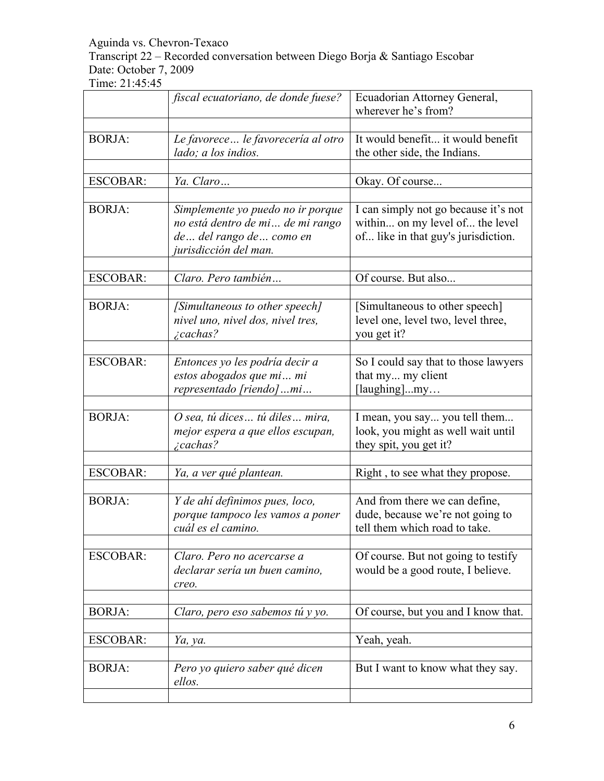Transcript 22 – Recorded conversation between Diego Borja & Santiago Escobar Date: October 7, 2009

|                 | fiscal ecuatoriano, de donde fuese?                                                                                       | Ecuadorian Attorney General,<br>wherever he's from?                                                            |
|-----------------|---------------------------------------------------------------------------------------------------------------------------|----------------------------------------------------------------------------------------------------------------|
|                 |                                                                                                                           |                                                                                                                |
| <b>BORJA:</b>   | Le favorece  le favorecería al otro<br>lado; a los indios.                                                                | It would benefit it would benefit<br>the other side, the Indians.                                              |
| <b>ESCOBAR:</b> | Ya. Claro                                                                                                                 | Okay. Of course                                                                                                |
| <b>BORJA:</b>   | Simplemente yo puedo no ir porque<br>no está dentro de mi de mi rango<br>de del rango de como en<br>jurisdicción del man. | I can simply not go because it's not<br>within on my level of the level<br>of like in that guy's jurisdiction. |
| <b>ESCOBAR:</b> | Claro. Pero también                                                                                                       | Of course. But also                                                                                            |
| <b>BORJA:</b>   | [Simultaneous to other speech]<br>nivel uno, nivel dos, nivel tres,<br>$\zeta$ cachas?                                    | [Simultaneous to other speech]<br>level one, level two, level three,<br>you get it?                            |
| <b>ESCOBAR:</b> | Entonces yo les podría decir a<br>estos abogados que mi mi<br>representado [riendo] mi                                    | So I could say that to those lawyers<br>that my my client<br>[laughing]my                                      |
| <b>BORJA:</b>   | O sea, tú dices tú diles mira,<br>mejor espera a que ellos escupan,<br><i>i</i> cachas?                                   | I mean, you say you tell them<br>look, you might as well wait until<br>they spit, you get it?                  |
| <b>ESCOBAR:</b> | Ya, a ver qué plantean.                                                                                                   | Right, to see what they propose.                                                                               |
| <b>BORJA:</b>   | Y de ahí definimos pues, loco,<br>porque tampoco les vamos a poner<br>cuál es el camino.                                  | And from there we can define,<br>dude, because we're not going to<br>tell them which road to take              |
| <b>ESCOBAR:</b> | Claro. Pero no acercarse a<br>declarar sería un buen camino,<br>creo.                                                     | Of course. But not going to testify<br>would be a good route, I believe.                                       |
| <b>BORJA:</b>   | Claro, pero eso sabemos tú y yo.                                                                                          | Of course, but you and I know that.                                                                            |
| <b>ESCOBAR:</b> | Ya, ya.                                                                                                                   | Yeah, yeah.                                                                                                    |
|                 |                                                                                                                           |                                                                                                                |
| <b>BORJA:</b>   | Pero yo quiero saber qué dicen<br>ellos.                                                                                  | But I want to know what they say.                                                                              |
|                 |                                                                                                                           |                                                                                                                |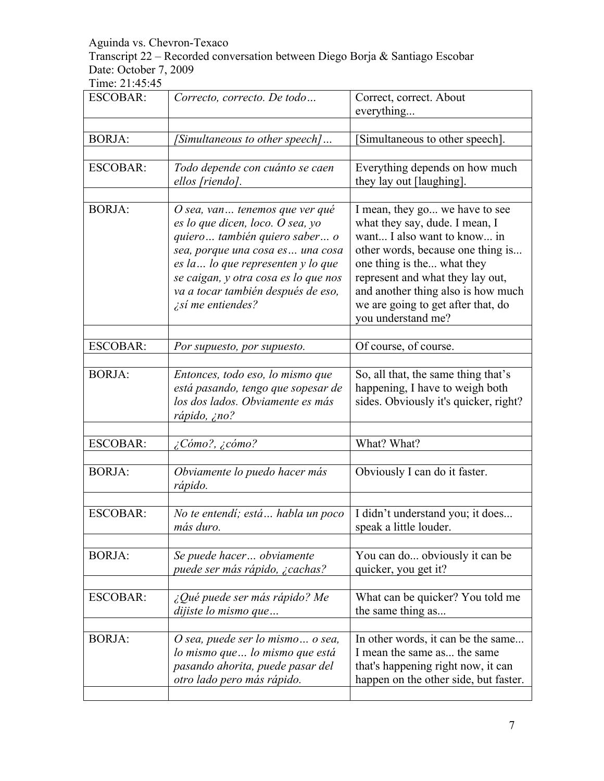Transcript 22 – Recorded conversation between Diego Borja & Santiago Escobar Date: October 7, 2009

| <b>ESCOBAR:</b> | Correcto, correcto. De todo                                                                                                                                                                                                                                                             | Correct, correct. About<br>everything                                                                                                                                                                                                                                                                    |
|-----------------|-----------------------------------------------------------------------------------------------------------------------------------------------------------------------------------------------------------------------------------------------------------------------------------------|----------------------------------------------------------------------------------------------------------------------------------------------------------------------------------------------------------------------------------------------------------------------------------------------------------|
|                 |                                                                                                                                                                                                                                                                                         |                                                                                                                                                                                                                                                                                                          |
| <b>BORJA:</b>   | [Simultaneous to other speech]                                                                                                                                                                                                                                                          | [Simultaneous to other speech].                                                                                                                                                                                                                                                                          |
| <b>ESCOBAR:</b> | Todo depende con cuánto se caen<br>ellos [riendo].                                                                                                                                                                                                                                      | Everything depends on how much<br>they lay out [laughing].                                                                                                                                                                                                                                               |
| <b>BORJA:</b>   | O sea, van tenemos que ver qué<br>es lo que dicen, loco. O sea, yo<br>quiero también quiero saber o<br>sea, porque una cosa es una cosa<br>es la  lo que representen y lo que<br>se caigan, y otra cosa es lo que nos<br>va a tocar también después de eso,<br><i>isi</i> me entiendes? | I mean, they go we have to see<br>what they say, dude. I mean, I<br>want I also want to know in<br>other words, because one thing is<br>one thing is the what they<br>represent and what they lay out,<br>and another thing also is how much<br>we are going to get after that, do<br>you understand me? |
| <b>ESCOBAR:</b> | Por supuesto, por supuesto.                                                                                                                                                                                                                                                             | Of course, of course.                                                                                                                                                                                                                                                                                    |
|                 |                                                                                                                                                                                                                                                                                         |                                                                                                                                                                                                                                                                                                          |
| <b>BORJA:</b>   | Entonces, todo eso, lo mismo que<br>está pasando, tengo que sopesar de<br>los dos lados. Obviamente es más<br>rápido, ¿no?                                                                                                                                                              | So, all that, the same thing that's<br>happening, I have to weigh both<br>sides. Obviously it's quicker, right?                                                                                                                                                                                          |
| <b>ESCOBAR:</b> | $\zeta$ Cómo?, $\zeta$ cómo?                                                                                                                                                                                                                                                            | What? What?                                                                                                                                                                                                                                                                                              |
|                 |                                                                                                                                                                                                                                                                                         |                                                                                                                                                                                                                                                                                                          |
| <b>BORJA:</b>   | Obviamente lo puedo hacer más<br>rápido.                                                                                                                                                                                                                                                | Obviously I can do it faster.                                                                                                                                                                                                                                                                            |
| <b>ESCOBAR:</b> | No te entendí; está  habla un poco<br>más duro.                                                                                                                                                                                                                                         | I didn't understand you; it does<br>speak a little louder.                                                                                                                                                                                                                                               |
| <b>BORJA:</b>   | Se puede hacer obviamente<br>puede ser más rápido, ¿cachas?                                                                                                                                                                                                                             | You can do obviously it can be<br>quicker, you get it?                                                                                                                                                                                                                                                   |
| <b>ESCOBAR:</b> | ¿Qué puede ser más rápido? Me<br>dijiste lo mismo que                                                                                                                                                                                                                                   | What can be quicker? You told me<br>the same thing as                                                                                                                                                                                                                                                    |
| <b>BORJA:</b>   | O sea, puede ser lo mismo o sea,<br>lo mismo que  lo mismo que está<br>pasando ahorita, puede pasar del<br>otro lado pero más rápido.                                                                                                                                                   | In other words, it can be the same<br>I mean the same as the same<br>that's happening right now, it can<br>happen on the other side, but faster.                                                                                                                                                         |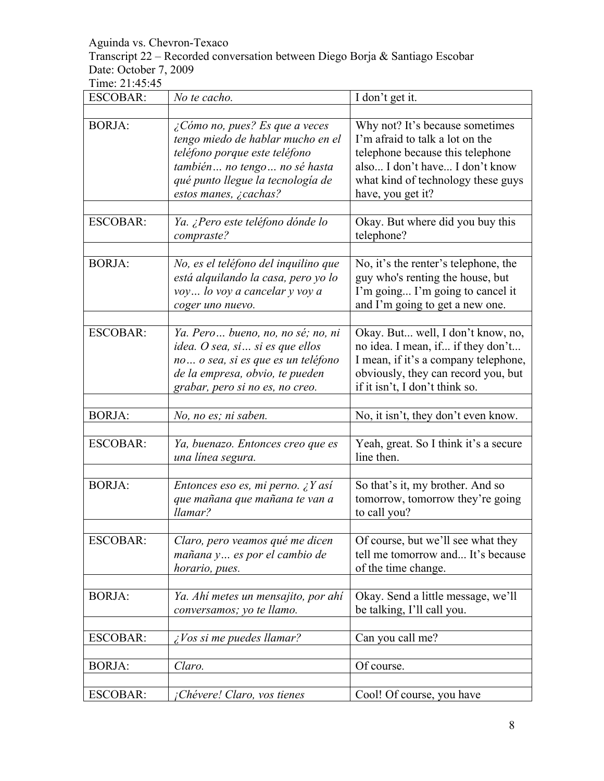Transcript 22 – Recorded conversation between Diego Borja & Santiago Escobar Date: October 7, 2009

| <b>ESCOBAR:</b> | No te cacho.                                                                                                                                                                                              | I don't get it.                                                                                                                                                                                     |
|-----------------|-----------------------------------------------------------------------------------------------------------------------------------------------------------------------------------------------------------|-----------------------------------------------------------------------------------------------------------------------------------------------------------------------------------------------------|
| <b>BORJA:</b>   | $\zeta$ Cómo no, pues? Es que a veces<br>tengo miedo de hablar mucho en el<br>teléfono porque este teléfono<br>también no tengo no sé hasta<br>qué punto llegue la tecnología de<br>estos manes, ¿cachas? | Why not? It's because sometimes<br>I'm afraid to talk a lot on the<br>telephone because this telephone<br>also I don't have I don't know<br>what kind of technology these guys<br>have, you get it? |
| <b>ESCOBAR:</b> | Ya. ¿Pero este teléfono dónde lo<br>compraste?                                                                                                                                                            | Okay. But where did you buy this<br>telephone?                                                                                                                                                      |
| <b>BORJA:</b>   | No, es el teléfono del inquilino que<br>está alquilando la casa, pero yo lo<br>voy lo voy a cancelar y voy a<br>coger uno nuevo.                                                                          | No, it's the renter's telephone, the<br>guy who's renting the house, but<br>I'm going I'm going to cancel it<br>and I'm going to get a new one.                                                     |
| <b>ESCOBAR:</b> | Ya. Pero bueno, no, no sé; no, ni<br>idea. O sea, si  si es que ellos<br>no o sea, si es que es un teléfono<br>de la empresa, obvio, te pueden<br>grabar, pero si no es, no creo.                         | Okay. But well, I don't know, no,<br>no idea. I mean, if if they don't<br>I mean, if it's a company telephone,<br>obviously, they can record you, but<br>if it isn't, I don't think so.             |
| <b>BORJA:</b>   | No, no es; ni saben.                                                                                                                                                                                      | No, it isn't, they don't even know.                                                                                                                                                                 |
| <b>ESCOBAR:</b> | Ya, buenazo. Entonces creo que es<br>una línea segura.                                                                                                                                                    | Yeah, great. So I think it's a secure<br>line then.                                                                                                                                                 |
| <b>BORJA:</b>   | Entonces eso es, mi perno. ¿Y así<br>que mañana que mañana te van a<br>llamar?                                                                                                                            | So that's it, my brother. And so<br>tomorrow, tomorrow they're going<br>to call you?                                                                                                                |
| <b>ESCOBAR:</b> | Claro, pero veamos qué me dicen<br>mañana y es por el cambio de<br>horario, pues.                                                                                                                         | Of course, but we'll see what they<br>tell me tomorrow and It's because<br>of the time change.                                                                                                      |
| <b>BORJA:</b>   | Ya. Ahí metes un mensajito, por ahí<br>conversamos; yo te llamo.                                                                                                                                          | Okay. Send a little message, we'll<br>be talking, I'll call you.                                                                                                                                    |
| <b>ESCOBAR:</b> | <i>i</i> Vos si me puedes llamar?                                                                                                                                                                         | Can you call me?                                                                                                                                                                                    |
| <b>BORJA:</b>   | Claro.                                                                                                                                                                                                    | Of course.                                                                                                                                                                                          |
| <b>ESCOBAR:</b> | ¡Chévere! Claro, vos tienes                                                                                                                                                                               | Cool! Of course, you have                                                                                                                                                                           |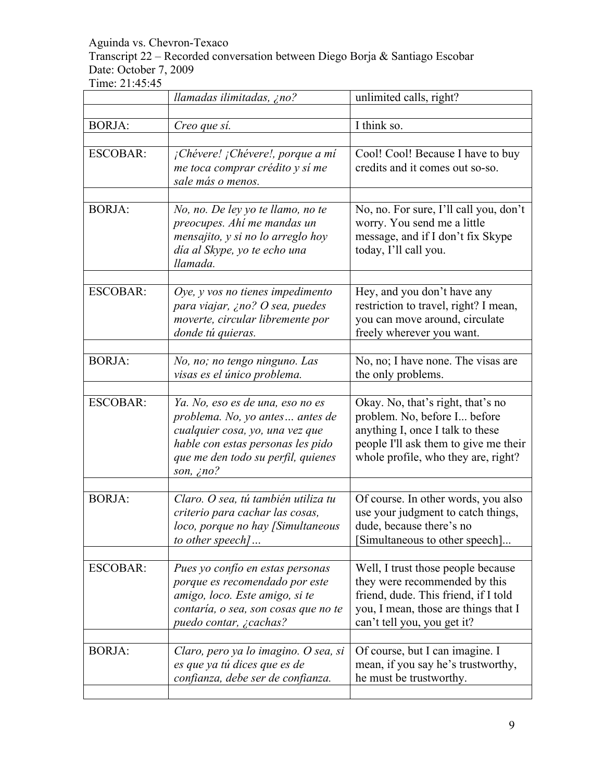Transcript 22 – Recorded conversation between Diego Borja & Santiago Escobar Date: October 7, 2009

|                 | llamadas ilimitadas, ¿no?                                                                                                                                                                             | unlimited calls, right?                                                                                                                                                               |
|-----------------|-------------------------------------------------------------------------------------------------------------------------------------------------------------------------------------------------------|---------------------------------------------------------------------------------------------------------------------------------------------------------------------------------------|
| <b>BORJA:</b>   | Creo que sí.                                                                                                                                                                                          | $\overline{I}$ think so.                                                                                                                                                              |
| <b>ESCOBAR:</b> | ¡Chévere! ¡Chévere!, porque a mí<br>me toca comprar crédito y sí me<br>sale más o menos.                                                                                                              | Cool! Cool! Because I have to buy<br>credits and it comes out so-so.                                                                                                                  |
| <b>BORJA:</b>   | No, no. De ley yo te llamo, no te<br>preocupes. Ahí me mandas un<br>mensajito, y si no lo arreglo hoy<br>día al Skype, yo te echo una<br>llamada.                                                     | No, no. For sure, I'll call you, don't<br>worry. You send me a little<br>message, and if I don't fix Skype<br>today, I'll call you.                                                   |
| <b>ESCOBAR:</b> | Oye, $y$ vos no tienes impedimento<br>para viajar, ¿no? O sea, puedes<br>moverte, circular libremente por<br>donde tú quieras.                                                                        | Hey, and you don't have any<br>restriction to travel, right? I mean,<br>you can move around, circulate<br>freely wherever you want.                                                   |
| <b>BORJA:</b>   | No, no; no tengo ninguno. Las<br>visas es el único problema.                                                                                                                                          | No, no; I have none. The visas are<br>the only problems.                                                                                                                              |
| <b>ESCOBAR:</b> | Ya. No, eso es de una, eso no es<br>problema. No, yo antes antes de<br>cualquier cosa, yo, una vez que<br>hable con estas personas les pido<br>que me den todo su perfil, quienes<br>son, $\zeta$ no? | Okay. No, that's right, that's no<br>problem. No, before I before<br>anything I, once I talk to these<br>people I'll ask them to give me their<br>whole profile, who they are, right? |
| <b>BORJA:</b>   | Claro. O sea, tú también utiliza tu<br>criterio para cachar las cosas,<br>loco, porque no hay [Simultaneous<br>to other speech]                                                                       | Of course. In other words, you also<br>use your judgment to catch things,<br>dude, because there's no<br>Simultaneous to other speech]                                                |
| <b>ESCOBAR:</b> | Pues yo confío en estas personas<br>porque es recomendado por este<br>amigo, loco. Este amigo, si te<br>contaría, o sea, son cosas que no te<br>puedo contar, ¿cachas?                                | Well, I trust those people because<br>they were recommended by this<br>friend, dude. This friend, if I told<br>you, I mean, those are things that I<br>can't tell you, you get it?    |
| <b>BORJA:</b>   | Claro, pero ya lo imagino. O sea, si<br>es que ya tú dices que es de<br>confianza, debe ser de confianza.                                                                                             | Of course, but I can imagine. I<br>mean, if you say he's trustworthy,<br>he must be trustworthy.                                                                                      |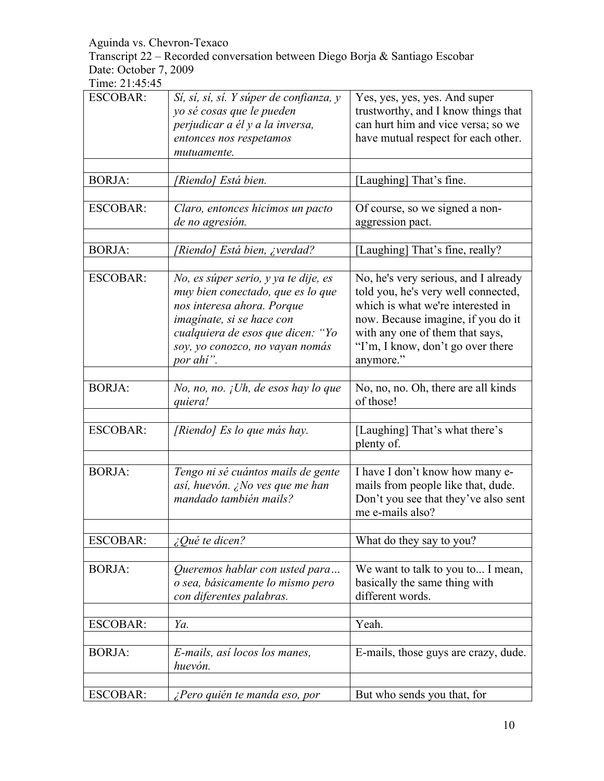Transcript 22 – Recorded conversation between Diego Borja & Santiago Escobar Date: October 7, 2009

| <b>ESCOBAR:</b> | Sí, sí, sí, sí. Y súper de confianza, y<br>yo sé cosas que le pueden<br>perjudicar a él y a la inversa,                                                                                                                   | Yes, yes, yes, yes. And super<br>trustworthy, and I know things that<br>can hurt him and vice versa; so we                                                                                                                                  |
|-----------------|---------------------------------------------------------------------------------------------------------------------------------------------------------------------------------------------------------------------------|---------------------------------------------------------------------------------------------------------------------------------------------------------------------------------------------------------------------------------------------|
|                 | entonces nos respetamos<br>mutuamente.                                                                                                                                                                                    | have mutual respect for each other.                                                                                                                                                                                                         |
|                 |                                                                                                                                                                                                                           |                                                                                                                                                                                                                                             |
| <b>BORJA:</b>   | [Riendo] Está bien.                                                                                                                                                                                                       | [Laughing] That's fine.                                                                                                                                                                                                                     |
| <b>ESCOBAR:</b> | Claro, entonces hicimos un pacto                                                                                                                                                                                          | Of course, so we signed a non-                                                                                                                                                                                                              |
|                 | de no agresión.                                                                                                                                                                                                           | aggression pact.                                                                                                                                                                                                                            |
| <b>BORJA:</b>   | [Riendo] Está bien, ¿verdad?                                                                                                                                                                                              | [Laughing] That's fine, really?                                                                                                                                                                                                             |
|                 |                                                                                                                                                                                                                           |                                                                                                                                                                                                                                             |
| <b>ESCOBAR:</b> | No, es súper serio, y ya te dije, es<br>muy bien conectado, que es lo que<br>nos interesa ahora. Porque<br>imaginate, si se hace con<br>cualquiera de esos que dicen: "Yo<br>soy, yo conozco, no vayan nomás<br>por ahí". | No, he's very serious, and I already<br>told you, he's very well connected,<br>which is what we're interested in<br>now. Because imagine, if you do it<br>with any one of them that says,<br>"I'm, I know, don't go over there<br>anymore." |
|                 |                                                                                                                                                                                                                           |                                                                                                                                                                                                                                             |
| <b>BORJA:</b>   | No, no, no. $iUh$ , de esos hay lo que<br>quiera!                                                                                                                                                                         | No, no, no. Oh, there are all kinds<br>of those!                                                                                                                                                                                            |
|                 |                                                                                                                                                                                                                           |                                                                                                                                                                                                                                             |
| <b>ESCOBAR:</b> | [Riendo] Es lo que más hay.                                                                                                                                                                                               | [Laughing] That's what there's<br>plenty of.                                                                                                                                                                                                |
| <b>BORJA:</b>   | Tengo ni sé cuántos mails de gente<br>así, huevón. ¿No ves que me han<br>mandado también mails?                                                                                                                           | I have I don't know how many e-<br>mails from people like that, dude.<br>Don't you see that they've also sent<br>me e-mails also?                                                                                                           |
| <b>ESCOBAR:</b> | ¿Qué te dicen?                                                                                                                                                                                                            | What do they say to you?                                                                                                                                                                                                                    |
| <b>BORJA:</b>   | Queremos hablar con usted para<br>o sea, básicamente lo mismo pero<br>con diferentes palabras.                                                                                                                            | We want to talk to you to I mean,<br>basically the same thing with<br>different words.                                                                                                                                                      |
| <b>ESCOBAR:</b> | Ya.                                                                                                                                                                                                                       | Yeah.                                                                                                                                                                                                                                       |
|                 |                                                                                                                                                                                                                           |                                                                                                                                                                                                                                             |
| <b>BORJA:</b>   | E-mails, así locos los manes,<br>huevón.                                                                                                                                                                                  | E-mails, those guys are crazy, dude.                                                                                                                                                                                                        |
| <b>ESCOBAR:</b> | ¿Pero quién te manda eso, por                                                                                                                                                                                             | But who sends you that, for                                                                                                                                                                                                                 |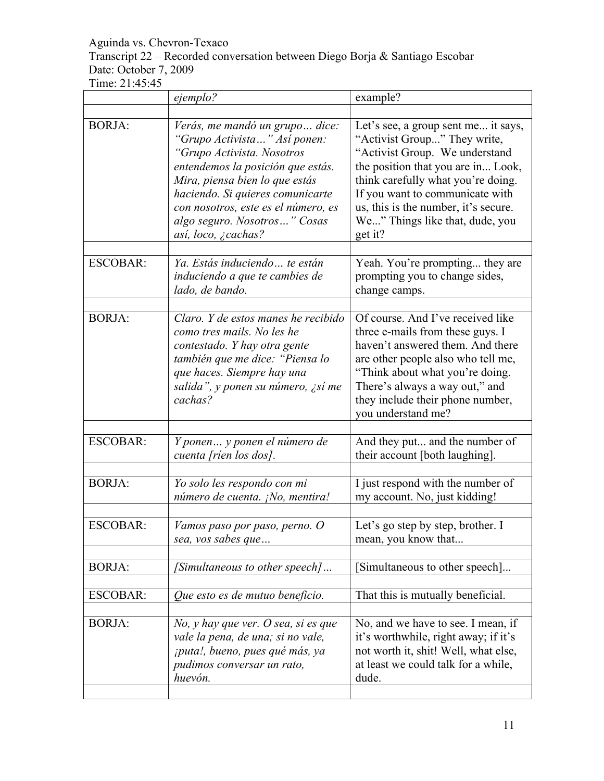# Transcript 22 – Recorded conversation between Diego Borja & Santiago Escobar Date: October 7, 2009

|                 | ejemplo?                                                                                                                                                                                                                                                                                              | example?                                                                                                                                                                                                                                                                                                   |
|-----------------|-------------------------------------------------------------------------------------------------------------------------------------------------------------------------------------------------------------------------------------------------------------------------------------------------------|------------------------------------------------------------------------------------------------------------------------------------------------------------------------------------------------------------------------------------------------------------------------------------------------------------|
| <b>BORJA:</b>   | Verás, me mandó un grupo dice:<br>"Grupo Activista" Así ponen:<br>"Grupo Activista. Nosotros<br>entendemos la posición que estás.<br>Mira, piensa bien lo que estás<br>haciendo. Si quieres comunicarte<br>con nosotros, este es el número, es<br>algo seguro. Nosotros" Cosas<br>así, loco, ¿cachas? | Let's see, a group sent me it says,<br>"Activist Group" They write,<br>"Activist Group. We understand<br>the position that you are in Look,<br>think carefully what you're doing.<br>If you want to communicate with<br>us, this is the number, it's secure.<br>We" Things like that, dude, you<br>get it? |
| <b>ESCOBAR:</b> | Ya. Estás induciendo  te están<br>induciendo a que te cambies de<br>lado, de bando.                                                                                                                                                                                                                   | Yeah. You're prompting they are<br>prompting you to change sides,<br>change camps.                                                                                                                                                                                                                         |
| <b>BORJA:</b>   | Claro. Y de estos manes he recibido<br>como tres mails. No les he<br>contestado. Y hay otra gente<br>también que me dice: "Piensa lo<br>que haces. Siempre hay una<br>salida", y ponen su número, ¿sí me<br>cachas?                                                                                   | Of course. And I've received like<br>three e-mails from these guys. I<br>haven't answered them. And there<br>are other people also who tell me,<br>"Think about what you're doing.<br>There's always a way out," and<br>they include their phone number,<br>you understand me?                             |
| <b>ESCOBAR:</b> | Y ponen  y ponen el número de<br>cuenta [ríen los dos].                                                                                                                                                                                                                                               | And they put and the number of<br>their account [both laughing].                                                                                                                                                                                                                                           |
| <b>BORJA:</b>   | Yo solo les respondo con mi<br>número de cuenta. ¡No, mentira!                                                                                                                                                                                                                                        | I just respond with the number of<br>my account. No, just kidding!                                                                                                                                                                                                                                         |
| <b>ESCOBAR:</b> | Vamos paso por paso, perno. O<br>sea, vos sabes que                                                                                                                                                                                                                                                   | Let's go step by step, brother. I<br>mean, you know that                                                                                                                                                                                                                                                   |
| <b>BORJA:</b>   | [Simultaneous to other speech]                                                                                                                                                                                                                                                                        | Simultaneous to other speech]                                                                                                                                                                                                                                                                              |
| <b>ESCOBAR:</b> | Que esto es de mutuo beneficio.                                                                                                                                                                                                                                                                       | That this is mutually beneficial.                                                                                                                                                                                                                                                                          |
| <b>BORJA:</b>   | No, y hay que ver. O sea, si es que<br>vale la pena, de una; si no vale,<br>¡puta!, bueno, pues qué más, ya<br>pudimos conversar un rato,<br>huevón.                                                                                                                                                  | No, and we have to see. I mean, if<br>it's worthwhile, right away; if it's<br>not worth it, shit! Well, what else,<br>at least we could talk for a while,<br>dude.                                                                                                                                         |